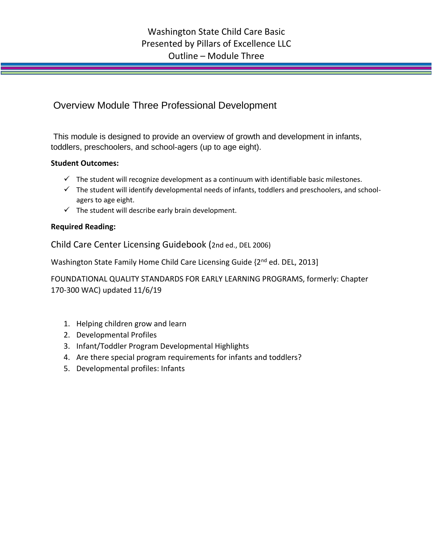## Overview Module Three Professional Development

This module is designed to provide an overview of growth and development in infants, toddlers, preschoolers, and school-agers (up to age eight).

## **Student Outcomes:**

- $\checkmark$  The student will recognize development as a continuum with identifiable basic milestones.
- ✓ The student will identify developmental needs of infants, toddlers and preschoolers, and schoolagers to age eight.
- $\checkmark$  The student will describe early brain development.

## **Required Reading:**

Child Care Center Licensing Guidebook (2nd ed., DEL 2006)

Washington State Family Home Child Care Licensing Guide {2<sup>nd</sup> ed. DEL, 2013]

FOUNDATIONAL QUALITY STANDARDS FOR EARLY LEARNING PROGRAMS, formerly: Chapter 170-300 WAC) updated 11/6/19

- 1. Helping children grow and learn
- 2. Developmental Profiles
- 3. Infant/Toddler Program Developmental Highlights
- 4. Are there special program requirements for infants and toddlers?
- 5. Developmental profiles: Infants